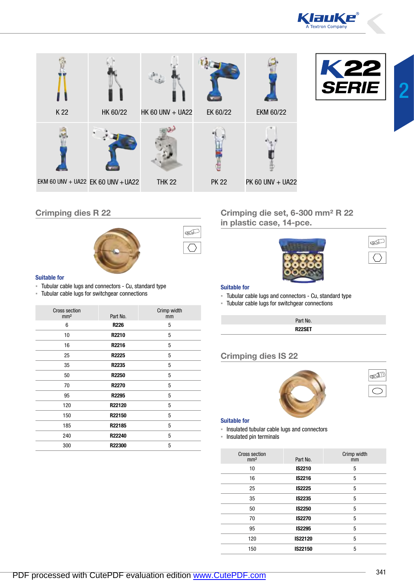





## Crimping dies R 22



# S

#### Suitable for

- ▪ Tubular cable lugs and connectors Cu, standard type
- **EXECUTE:** Tubular cable lugs for switchgear connections

| <b>Cross section</b><br>mm <sup>2</sup> | Part No.     | Crimp width<br>mm |
|-----------------------------------------|--------------|-------------------|
| 6                                       | <b>R226</b>  | 5                 |
| 10                                      | R2210        | 5                 |
| 16                                      | R2216        | 5                 |
| 25                                      | R2225        | 5                 |
| 35                                      | R2235        | 5                 |
| 50                                      | <b>R2250</b> | 5                 |
| 70                                      | R2270        | 5                 |
| 95                                      | R2295        | 5                 |
| 120                                     | R22120       | 5                 |
| 150                                     | R22150       | 5                 |
| 185                                     | R22185       | 5                 |
| 240                                     | R22240       | 5                 |
| 300                                     | R22300       | 5                 |

Crimping die set, 6-300 mm² R 22 in plastic case, 14-pce.



#### Suitable for

- **Tubular cable lugs and connectors Cu, standard type**
- **EXEC** Tubular cable lugs for switchgear connections

|  | Part No.            |  |  |
|--|---------------------|--|--|
|  | R <sub>22</sub> SET |  |  |

## Crimping dies IS 22





S

#### Suitable for

- **.** Insulated tubular cable lugs and connectors
- **·** Insulated pin terminals

| <b>Cross section</b><br>mm <sup>2</sup> | Part No.      | Crimp width<br>mm |
|-----------------------------------------|---------------|-------------------|
| 10                                      | IS2210        | 5                 |
| 16                                      | IS2216        | 5                 |
| 25                                      | <b>IS2225</b> | 5                 |
| 35                                      | <b>IS2235</b> | 5                 |
| 50                                      | <b>IS2250</b> | 5                 |
| 70                                      | <b>IS2270</b> | 5                 |
| 95                                      | IS2295        | 5                 |
| 120                                     | IS22120       | 5                 |
| 150                                     | IS22150       | 5                 |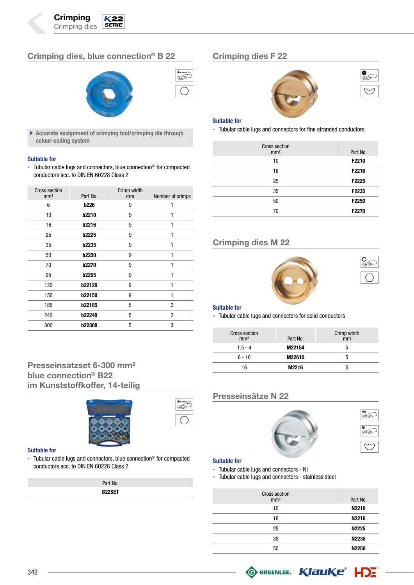# Crimping dies, blue connection® B 22



 $\blacktriangleright$  Accurate assignment of crimping tool/crimping die through colour-coding system

#### Suitable for

■ Tubular cable lugs and connectors, blue connection<sup>®</sup> for compacted conductors acc. to DIN EN 60228 Class 2

| <b>Cross section</b><br>mm <sup>2</sup> | Part No.      | Crimp width<br>mm | Number of crimps |
|-----------------------------------------|---------------|-------------------|------------------|
| 6                                       | <b>b226</b>   | 9                 |                  |
| 10                                      | <b>b2210</b>  | 9                 | 1                |
| 16                                      | <b>b2216</b>  | 9                 |                  |
| 25                                      | <b>b2225</b>  | 9                 | 1                |
| 35                                      | <b>b2235</b>  | 9                 | 1                |
| 50                                      | <b>b2250</b>  | 9                 |                  |
| 70                                      | <b>b2270</b>  | 9                 | 1                |
| 95                                      | <b>b2295</b>  | 9                 |                  |
| 120                                     | <b>b22120</b> | 9                 | 1                |
| 150                                     | b22150        | 9                 | 1                |
| 185                                     | b22185        | 5                 | 2                |
| 240                                     | <b>b22240</b> | 5                 | $\overline{c}$   |
| 300                                     | <b>b22300</b> | 5                 | 3                |

# Presseinsatzset 6-300 mm² blue connection® B22 im Kunststoffkoffer, 14-teilig



#### Suitable for

■ Tubular cable lugs and connectors, blue connection<sup>®</sup> for compacted conductors acc. to DIN EN 60228 Class 2

| Part No.      |  |
|---------------|--|
| <b>B22SET</b> |  |

## Crimping dies F 22





#### Suitable for

Í

**· Tubular cable lugs and connectors for fine stranded conductors** 

| <b>Cross section</b><br>mm <sup>2</sup> | Part No. |
|-----------------------------------------|----------|
| 10                                      | F2210    |
| 16                                      | F2216    |
| 25                                      | F2225    |
| 35                                      | F2235    |
| 50                                      | F2250    |
| 70                                      | F2270    |

## Crimping dies M 22





#### Suitable for

**EXECUTE:** Tubular cable lugs and connectors for solid conductors

| <b>Cross section</b><br>mm <sup>2</sup> | Part No. | Crimp width<br>mm |
|-----------------------------------------|----------|-------------------|
| $1.5 - 4$                               | M22154   | b                 |
| $6 - 10$                                | M22610   | :                 |
| 16                                      | M2216    | 'n                |

## Presseinsätze N 22





#### Suitable for

⋐

- ▪ Tubular cable lugs and connectors Ni
- **· Tubular cable lugs and connectors stainless steel**

| <b>Cross section</b><br>mm <sup>2</sup> | Part No.          |
|-----------------------------------------|-------------------|
| 10                                      | N2210             |
| 16                                      | N2216             |
| 25                                      | N2225             |
| 35                                      | N2235             |
| 50                                      | N <sub>2250</sub> |

**GO GREENLEE.** KIELIKE<sup>®</sup> HDE

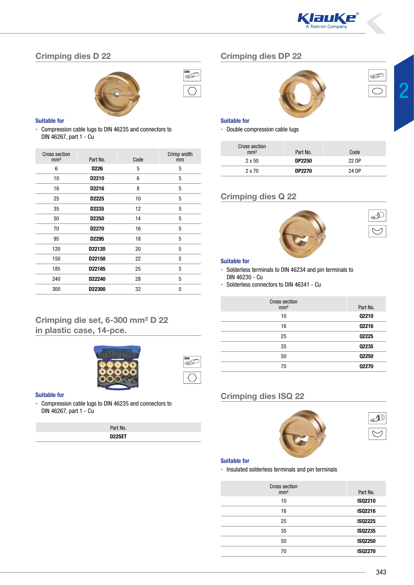

# Crimping dies D 22



| DIN |  |
|-----|--|
|     |  |

⋐

#### Suitable for

**EX Compression cable lugs to DIN 46235 and connectors to** DIN 46267, part 1 - Cu

| <b>Cross section</b><br>mm <sup>2</sup> | Part No.          | Code | Crimp width<br>mm |
|-----------------------------------------|-------------------|------|-------------------|
| 6                                       | D <sub>226</sub>  | 5    | 5                 |
| 10                                      | D <sub>2210</sub> | 6    | 5                 |
| 16                                      | D2216             | 8    | 5                 |
| 25                                      | D2225             | 10   | 5                 |
| 35                                      | D2235             | 12   | 5                 |
| 50                                      | D <sub>2250</sub> | 14   | 5                 |
| 70                                      | D <sub>2270</sub> | 16   | 5                 |
| 95                                      | D2295             | 18   | 5                 |
| 120                                     | D22120            | 20   | 5                 |
| 150                                     | D22150            | 22   | 5                 |
| 185                                     | D22185            | 25   | 5                 |
| 240                                     | D22240            | 28   | 5                 |
| 300                                     | D22300            | 32   | 5                 |

## Crimping die set, 6-300 mm² D 22 in plastic case, 14-pce.



#### Suitable for

**EXECOMPRESS** CABLE Lugs to DIN 46235 and connectors to DIN 46267, part 1 - Cu

| Part No.            |  |
|---------------------|--|
| D <sub>22</sub> SET |  |

## Crimping dies DP 22





J

#### Suitable for

**• Double compression cable lugs** 

| <b>Cross section</b><br>mm <sup>2</sup> | Part No.      | Code  |
|-----------------------------------------|---------------|-------|
| $2 \times 50$                           | <b>DP2250</b> | 22 DP |
| 2 x 70                                  | <b>DP2270</b> | 24 DP |

## Crimping dies Q 22



#### Suitable for

- ▪ Solderless terminals to DIN 46234 and pin terminals to DIN 46230 - Cu
- ▪ Solderless connectors to DIN 46341 Cu

| <b>Cross section</b><br>mm <sup>2</sup> | Part No.     |
|-----------------------------------------|--------------|
| 10                                      | Q2210        |
| 16                                      | Q2216        |
| 25                                      | Q2225        |
| 35                                      | Q2235        |
| 50                                      | Q2250        |
| 70                                      | <b>Q2270</b> |

## Crimping dies ISQ 22





#### Suitable for

**·** Insulated solderless terminals and pin terminals

| <b>Cross section</b><br>mm <sup>2</sup> | Part No.       |
|-----------------------------------------|----------------|
| 10                                      | ISQ2210        |
| 16                                      | ISQ2216        |
| 25                                      | <b>ISQ2225</b> |
| 35                                      | <b>ISQ2235</b> |
| 50                                      | <b>ISQ2250</b> |
| 70                                      | <b>ISQ2270</b> |
|                                         |                |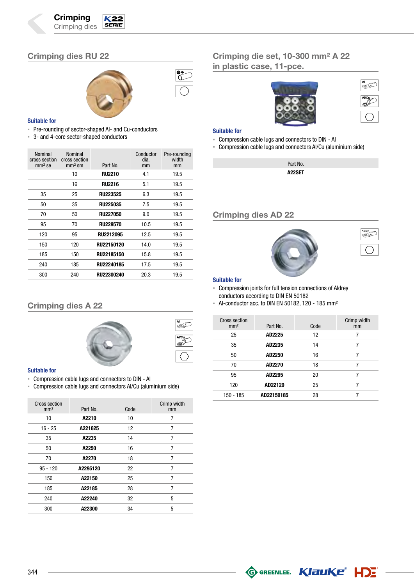# Crimping dies RU 22



Ñ<br>S∕

#### Suitable for

- **Pre-rounding of sector-shaped Al- and Cu-conductors**
- 3- and 4-core sector-shaped conductors

| Nominal<br>cross section<br>$mm2$ se | Nominal<br>cross section<br>$mm2$ sm | Part No.        | Conductor<br>dia.<br>mm | Pre-rounding<br>width<br>mm |
|--------------------------------------|--------------------------------------|-----------------|-------------------------|-----------------------------|
|                                      | 10                                   | <b>RU2210</b>   | 4.1                     | 19.5                        |
|                                      | 16                                   | <b>RU2216</b>   | 5.1                     | 19.5                        |
| 35                                   | 25                                   | <b>RU223525</b> | 6.3                     | 19.5                        |
| 50                                   | 35                                   | <b>RU225035</b> | 7.5                     | 19.5                        |
| 70                                   | 50                                   | <b>RU227050</b> | 9.0                     | 19.5                        |
| 95                                   | 70                                   | <b>RU229570</b> | 10.5                    | 19.5                        |
| 120                                  | 95                                   | RU2212095       | 12.5                    | 19.5                        |
| 150                                  | 120                                  | RU22150120      | 14.0                    | 19.5                        |
| 185                                  | 150                                  | RU22185150      | 15.8                    | 19.5                        |
| 240                                  | 185                                  | RU22240185      | 17.5                    | 19.5                        |
| 300                                  | 240                                  | RU22300240      | 20.3                    | 19.5                        |

## Crimping dies A 22



#### Suitable for

- ▪ Compression cable lugs and connectors to DIN Al
- **Compression cable lugs and connectors Al/Cu (aluminium side)**

| Cross section<br>mm <sup>2</sup> | Part No. | Code | Crimp width<br>mm |
|----------------------------------|----------|------|-------------------|
| 10                               | A2210    | 10   | 7                 |
| $16 - 25$                        | A221625  | 12   | 7                 |
| 35                               | A2235    | 14   | 7                 |
| 50                               | A2250    | 16   | 7                 |
| 70                               | A2270    | 18   | $\overline{7}$    |
| $95 - 120$                       | A2295120 | 22   | 7                 |
| 150                              | A22150   | 25   | 7                 |
| 185                              | A22185   | 28   | 7                 |
| 240                              | A22240   | 32   | 5                 |
| 300                              | A22300   | 34   | 5                 |

## Crimping die set, 10-300 mm² A 22 in plastic case, 11-pce.



| ΑĪ    |
|-------|
| Al/Cu |
|       |

#### Suitable for

- ▪ Compression cable lugs and connectors to DIN Al
- **Compression cable lugs and connectors Al/Cu (aluminium side)**

| Part No. |
|----------|
| A22SET   |

## Crimping dies AD 22





#### Suitable for

- **Compression joints for full tension connections of Aldrey** conductors according to DIN EN 50182
- $\blacksquare$  Al-conductor acc. to DIN EN 50182, 120 185 mm<sup>2</sup>

| <b>Cross section</b><br>mm <sup>2</sup> | Part No.   | Code | Crimp width<br>mm |
|-----------------------------------------|------------|------|-------------------|
| 25                                      | AD2225     | 12   |                   |
| 35                                      | AD2235     | 14   | 7                 |
| 50                                      | AD2250     | 16   |                   |
| 70                                      | AD2270     | 18   |                   |
| 95                                      | AD2295     | 20   |                   |
| 120                                     | AD22120    | 25   |                   |
| 150 - 185                               | AD22150185 | 28   |                   |

**G GREENLEE.** KIEUKE<sup>®</sup> HDE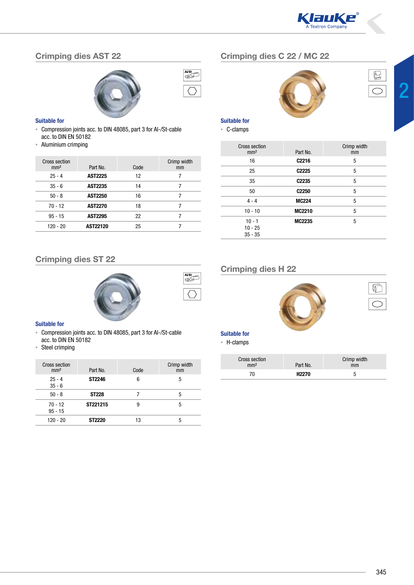

# Crimping dies AST 22



#### Suitable for

- ▪ Compression joints acc. to DIN 48085, part 3 for Al-/St-cable acc. to DIN EN 50182
- ▪ Aluminium crimping

| Cross section<br>mm <sup>2</sup> | Part No.        | Code | Crimp width<br>mm |
|----------------------------------|-----------------|------|-------------------|
| $25 - 4$                         | <b>AST2225</b>  | 12   | 7                 |
| $35 - 6$                         | <b>AST2235</b>  | 14   | 7                 |
| $50 - 8$                         | <b>AST2250</b>  | 16   | 7                 |
| 70 - 12                          | <b>AST2270</b>  | 18   | 7                 |
| $95 - 15$                        | <b>AST2295</b>  | 22   |                   |
| $120 - 20$                       | <b>AST22120</b> | 25   |                   |

# Crimping dies C 22 / MC 22





2

Suitable for

▪ C-clamps

| Cross section<br>mm <sup>2</sup>   | Part No.          | Crimp width<br>mm |
|------------------------------------|-------------------|-------------------|
| 16                                 | C <sub>2216</sub> | 5                 |
| 25                                 | C <sub>2225</sub> | 5                 |
| 35                                 | C <sub>2235</sub> | 5                 |
| 50                                 | C <sub>2250</sub> | 5                 |
| $4 - 4$                            | <b>MC224</b>      | 5                 |
| $10 - 10$                          | <b>MC2210</b>     | 5                 |
| $10 - 1$<br>$10 - 25$<br>$35 - 35$ | <b>MC2235</b>     | 5                 |

## Crimping dies ST 22





 $\overline{\text{A1/St}}$ 

#### Suitable for

- ▪ Compression joints acc. to DIN 48085, part 3 for Al-/St-cable acc. to DIN EN 50182
- ▪ Steel crimping

| <b>Cross section</b><br>mm <sup>2</sup> | Part No.      | Code | Crimp width<br>mm |
|-----------------------------------------|---------------|------|-------------------|
| $25 - 4$<br>$35 - 6$                    | ST2246        | 6    | 5                 |
| $50 - 8$                                | <b>ST228</b>  |      | 5                 |
| $70 - 12$<br>$95 - 15$                  | ST221215      | 9    | 5                 |
| $120 - 20$                              | <b>ST2220</b> | 13   | 5                 |

# Crimping dies H 22



## Suitable for

▪ H-clamps

| <b>Cross section</b><br>mm <sup>2</sup> | Part No.     | Crimp width<br>mm |
|-----------------------------------------|--------------|-------------------|
| 70                                      | <b>H2270</b> | ħ                 |